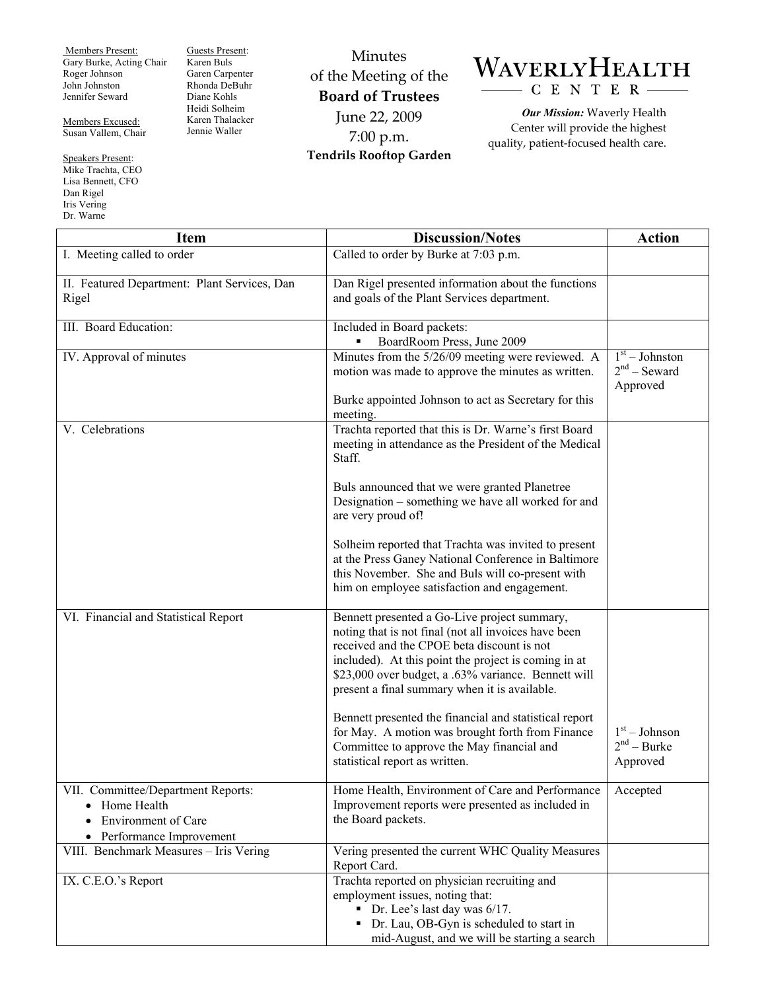Members Present: Gary Burke, Acting Chair Roger Johnson John Johnston Jennifer Seward

Members Excused: Susan Vallem, Chair

Speakers Present: Mike Trachta, CEO Lisa Bennett, CFO Dan Rigel Iris Vering Dr. Warne

Guests Present: Karen Buls Garen Carpenter Rhonda DeBuhr Diane Kohls Heidi Solheim Karen Thalacker Jennie Waller

Minutes of the Meeting of the **Board of Trustees**  June 22, 2009 7:00 p.m. **Tendrils Rooftop Garden** 

## WAVERLYHEALTH CENTER

*Our Mission:* Waverly Health Center will provide the highest quality, patient-focused health care.

| <b>Item</b>                                                                                                               | <b>Discussion/Notes</b>                                                                                                                                                                                                                                                                                            | <b>Action</b>                                  |
|---------------------------------------------------------------------------------------------------------------------------|--------------------------------------------------------------------------------------------------------------------------------------------------------------------------------------------------------------------------------------------------------------------------------------------------------------------|------------------------------------------------|
| I. Meeting called to order                                                                                                | Called to order by Burke at 7:03 p.m.                                                                                                                                                                                                                                                                              |                                                |
| II. Featured Department: Plant Services, Dan                                                                              | Dan Rigel presented information about the functions                                                                                                                                                                                                                                                                |                                                |
| Rigel                                                                                                                     | and goals of the Plant Services department.                                                                                                                                                                                                                                                                        |                                                |
| III. Board Education:                                                                                                     | Included in Board packets:<br>BoardRoom Press, June 2009                                                                                                                                                                                                                                                           |                                                |
| IV. Approval of minutes                                                                                                   | Minutes from the 5/26/09 meeting were reviewed. A<br>motion was made to approve the minutes as written.                                                                                                                                                                                                            | $1st - Johnston$<br>$2nd$ – Seward<br>Approved |
|                                                                                                                           | Burke appointed Johnson to act as Secretary for this<br>meeting.                                                                                                                                                                                                                                                   |                                                |
| V. Celebrations                                                                                                           | Trachta reported that this is Dr. Warne's first Board<br>meeting in attendance as the President of the Medical<br>Staff.                                                                                                                                                                                           |                                                |
|                                                                                                                           | Buls announced that we were granted Planetree<br>Designation - something we have all worked for and<br>are very proud of!                                                                                                                                                                                          |                                                |
|                                                                                                                           | Solheim reported that Trachta was invited to present<br>at the Press Ganey National Conference in Baltimore<br>this November. She and Buls will co-present with<br>him on employee satisfaction and engagement.                                                                                                    |                                                |
| VI. Financial and Statistical Report                                                                                      | Bennett presented a Go-Live project summary,<br>noting that is not final (not all invoices have been<br>received and the CPOE beta discount is not<br>included). At this point the project is coming in at<br>\$23,000 over budget, a .63% variance. Bennett will<br>present a final summary when it is available. |                                                |
|                                                                                                                           | Bennett presented the financial and statistical report<br>for May. A motion was brought forth from Finance<br>Committee to approve the May financial and<br>statistical report as written.                                                                                                                         | $1st - Johnson$<br>$2nd - Burke$<br>Approved   |
| VII. Committee/Department Reports:<br>Home Health<br>$\bullet$<br><b>Environment of Care</b><br>• Performance Improvement | Home Health, Environment of Care and Performance<br>Improvement reports were presented as included in<br>the Board packets.                                                                                                                                                                                        | Accepted                                       |
| VIII. Benchmark Measures - Iris Vering                                                                                    | Vering presented the current WHC Quality Measures<br>Report Card.                                                                                                                                                                                                                                                  |                                                |
| IX. C.E.O.'s Report                                                                                                       | Trachta reported on physician recruiting and<br>employment issues, noting that:<br>• Dr. Lee's last day was $6/17$ .<br>• Dr. Lau, OB-Gyn is scheduled to start in<br>mid-August, and we will be starting a search                                                                                                 |                                                |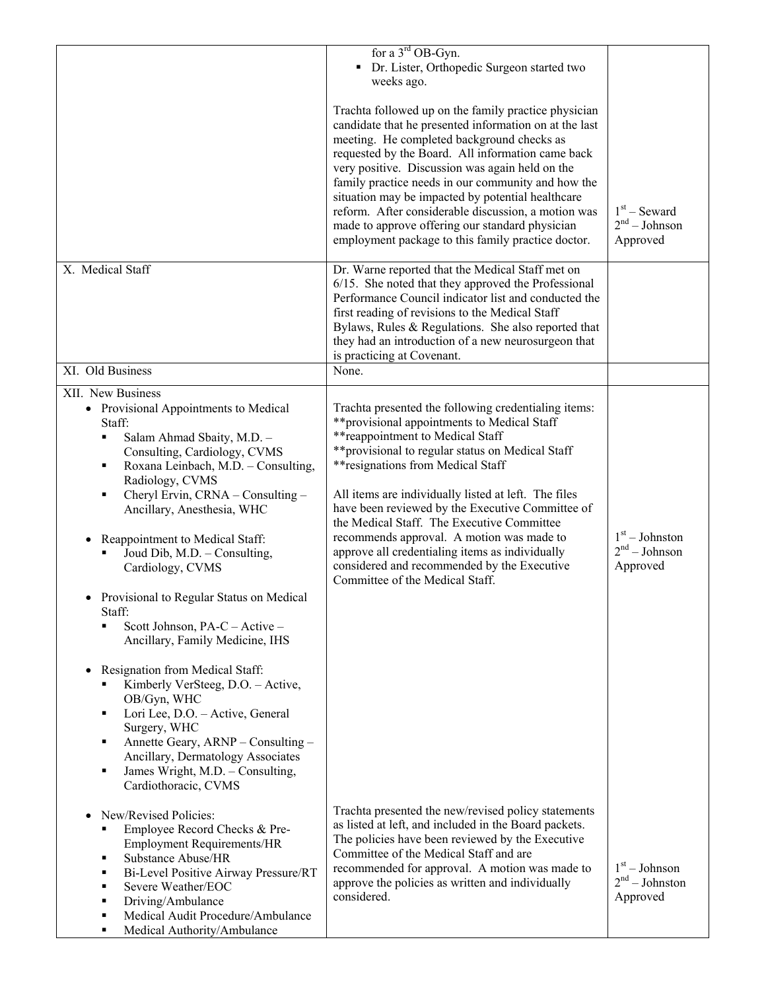|                                                                                                                                                                                                                                                                                                                                                                                                                                                                                                                                                                                                                                                                                                                                                                                                                                                                 | for a $3^{\text{rd}}$ OB-Gyn.<br>Dr. Lister, Orthopedic Surgeon started two<br>weeks ago.<br>Trachta followed up on the family practice physician<br>candidate that he presented information on at the last<br>meeting. He completed background checks as<br>requested by the Board. All information came back<br>very positive. Discussion was again held on the<br>family practice needs in our community and how the<br>situation may be impacted by potential healthcare<br>reform. After considerable discussion, a motion was<br>made to approve offering our standard physician<br>employment package to this family practice doctor. | $1st$ – Seward<br>$2nd - Johnson$<br>Approved   |
|-----------------------------------------------------------------------------------------------------------------------------------------------------------------------------------------------------------------------------------------------------------------------------------------------------------------------------------------------------------------------------------------------------------------------------------------------------------------------------------------------------------------------------------------------------------------------------------------------------------------------------------------------------------------------------------------------------------------------------------------------------------------------------------------------------------------------------------------------------------------|----------------------------------------------------------------------------------------------------------------------------------------------------------------------------------------------------------------------------------------------------------------------------------------------------------------------------------------------------------------------------------------------------------------------------------------------------------------------------------------------------------------------------------------------------------------------------------------------------------------------------------------------|-------------------------------------------------|
| X. Medical Staff                                                                                                                                                                                                                                                                                                                                                                                                                                                                                                                                                                                                                                                                                                                                                                                                                                                | Dr. Warne reported that the Medical Staff met on<br>6/15. She noted that they approved the Professional<br>Performance Council indicator list and conducted the<br>first reading of revisions to the Medical Staff<br>Bylaws, Rules & Regulations. She also reported that<br>they had an introduction of a new neurosurgeon that<br>is practicing at Covenant.                                                                                                                                                                                                                                                                               |                                                 |
| XI. Old Business                                                                                                                                                                                                                                                                                                                                                                                                                                                                                                                                                                                                                                                                                                                                                                                                                                                | None.                                                                                                                                                                                                                                                                                                                                                                                                                                                                                                                                                                                                                                        |                                                 |
| XII. New Business<br>• Provisional Appointments to Medical<br>Staff:<br>Salam Ahmad Sbaity, M.D. -<br>٠<br>Consulting, Cardiology, CVMS<br>Roxana Leinbach, M.D. - Consulting,<br>٠<br>Radiology, CVMS<br>Cheryl Ervin, CRNA - Consulting -<br>٠<br>Ancillary, Anesthesia, WHC<br>Reappointment to Medical Staff:<br>$\bullet$<br>Joud Dib, M.D. - Consulting,<br>Cardiology, CVMS<br>Provisional to Regular Status on Medical<br>$\bullet$<br>Staff:<br>Scott Johnson, PA-C - Active -<br>$\blacksquare$<br>Ancillary, Family Medicine, IHS<br>Resignation from Medical Staff:<br>$\bullet$<br>Kimberly VerSteeg, D.O. - Active,<br>٠<br>OB/Gyn, WHC<br>Lori Lee, D.O. - Active, General<br>٠<br>Surgery, WHC<br>Annette Geary, ARNP - Consulting -<br>٠<br>Ancillary, Dermatology Associates<br>James Wright, M.D. - Consulting,<br>٠<br>Cardiothoracic, CVMS | Trachta presented the following credentialing items:<br>** provisional appointments to Medical Staff<br>** reappointment to Medical Staff<br>** provisional to regular status on Medical Staff<br>** resignations from Medical Staff<br>All items are individually listed at left. The files<br>have been reviewed by the Executive Committee of<br>the Medical Staff. The Executive Committee<br>recommends approval. A motion was made to<br>approve all credentialing items as individually<br>considered and recommended by the Executive<br>Committee of the Medical Staff.                                                             | $1st - Johnston$<br>$2nd - Johnson$<br>Approved |
| New/Revised Policies:<br>$\bullet$<br>Employee Record Checks & Pre-<br>٠<br><b>Employment Requirements/HR</b><br><b>Substance Abuse/HR</b><br>٠<br>Bi-Level Positive Airway Pressure/RT<br>٠<br>Severe Weather/EOC<br>٠<br>Driving/Ambulance<br>٠<br>Medical Audit Procedure/Ambulance<br>$\blacksquare$<br>Medical Authority/Ambulance<br>٠                                                                                                                                                                                                                                                                                                                                                                                                                                                                                                                    | Trachta presented the new/revised policy statements<br>as listed at left, and included in the Board packets.<br>The policies have been reviewed by the Executive<br>Committee of the Medical Staff and are<br>recommended for approval. A motion was made to<br>approve the policies as written and individually<br>considered.                                                                                                                                                                                                                                                                                                              | $1st - Johnson$<br>$2nd - Johnston$<br>Approved |